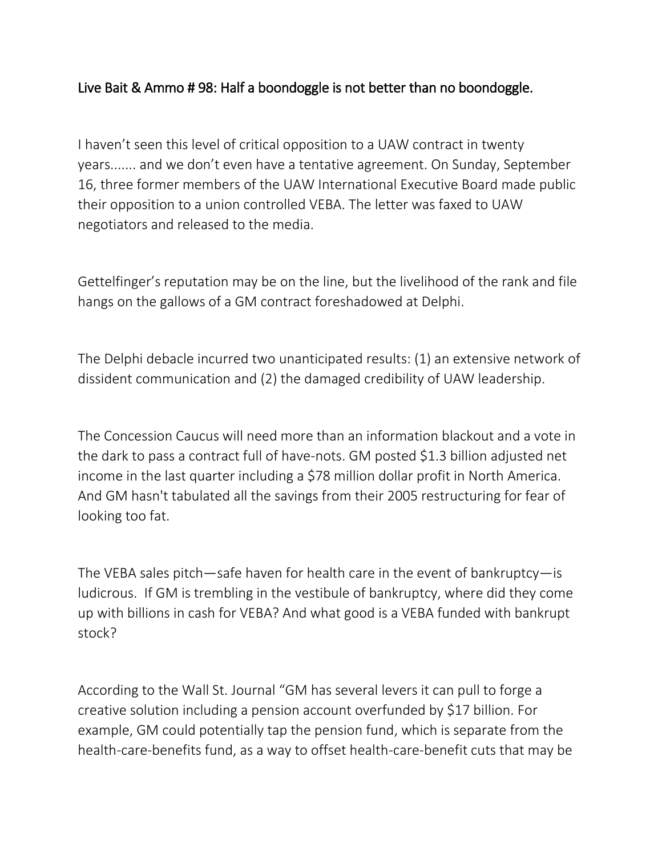## Live Bait & Ammo # 98: Half a boondoggle is not better than no boondoggle.

I haven't seen this level of critical opposition to a UAW contract in twenty years....... and we don't even have a tentative agreement. On Sunday, September 16, three former members of the UAW International Executive Board made public their opposition to a union controlled VEBA. The letter was faxed to UAW negotiators and released to the media.

Gettelfinger's reputation may be on the line, but the livelihood of the rank and file hangs on the gallows of a GM contract foreshadowed at Delphi.

The Delphi debacle incurred two unanticipated results: (1) an extensive network of dissident communication and (2) the damaged credibility of UAW leadership.

The Concession Caucus will need more than an information blackout and a vote in the dark to pass a contract full of have-nots. GM posted \$1.3 billion adjusted net income in the last quarter including a \$78 million dollar profit in North America. And GM hasn't tabulated all the savings from their 2005 restructuring for fear of looking too fat.

The VEBA sales pitch—safe haven for health care in the event of bankruptcy—is ludicrous. If GM is trembling in the vestibule of bankruptcy, where did they come up with billions in cash for VEBA? And what good is a VEBA funded with bankrupt stock?

According to the Wall St. Journal "GM has several levers it can pull to forge a creative solution including a pension account overfunded by \$17 billion. For example, GM could potentially tap the pension fund, which is separate from the health-care-benefits fund, as a way to offset health-care-benefit cuts that may be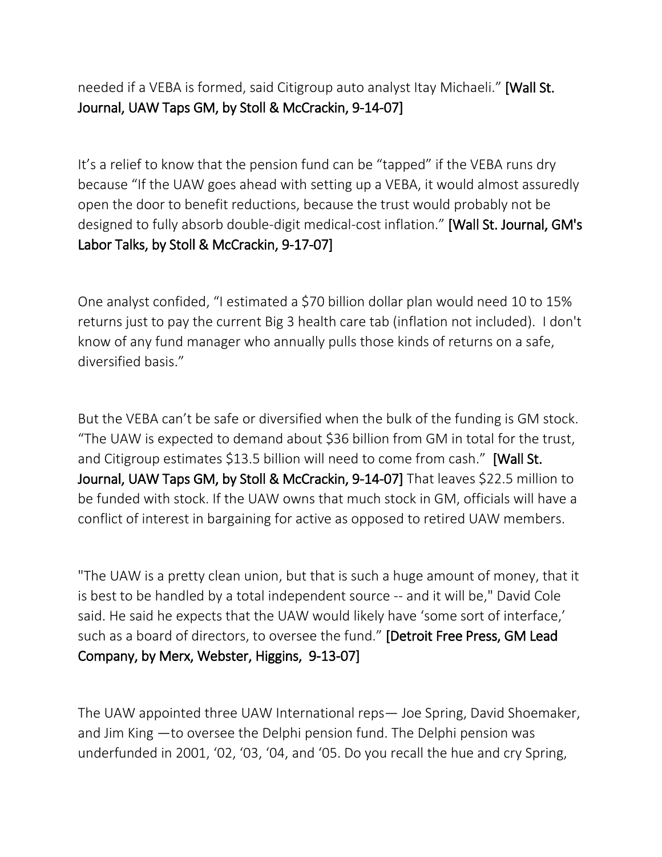needed if a VEBA is formed, said Citigroup auto analyst Itay Michaeli." [Wall St. Journal, UAW Taps GM, by Stoll & McCrackin, 9-14-07]

It's a relief to know that the pension fund can be "tapped" if the VEBA runs dry because "If the UAW goes ahead with setting up a VEBA, it would almost assuredly open the door to benefit reductions, because the trust would probably not be designed to fully absorb double-digit medical-cost inflation." [Wall St. Journal, GM's Labor Talks, by Stoll & McCrackin, 9-17-07]

One analyst confided, "I estimated a \$70 billion dollar plan would need 10 to 15% returns just to pay the current Big 3 health care tab (inflation not included). I don't know of any fund manager who annually pulls those kinds of returns on a safe, diversified basis."

But the VEBA can't be safe or diversified when the bulk of the funding is GM stock. "The UAW is expected to demand about \$36 billion from GM in total for the trust, and Citigroup estimates \$13.5 billion will need to come from cash." [Wall St. Journal, UAW Taps GM, by Stoll & McCrackin, 9-14-07] That leaves \$22.5 million to be funded with stock. If the UAW owns that much stock in GM, officials will have a conflict of interest in bargaining for active as opposed to retired UAW members.

"The UAW is a pretty clean union, but that is such a huge amount of money, that it is best to be handled by a total independent source -- and it will be," David Cole said. He said he expects that the UAW would likely have 'some sort of interface,' such as a board of directors, to oversee the fund." [Detroit Free Press, GM Lead Company, by Merx, Webster, Higgins, 9-13-07]

The UAW appointed three UAW International reps— Joe Spring, David Shoemaker, and Jim King —to oversee the Delphi pension fund. The Delphi pension was underfunded in 2001, '02, '03, '04, and '05. Do you recall the hue and cry Spring,